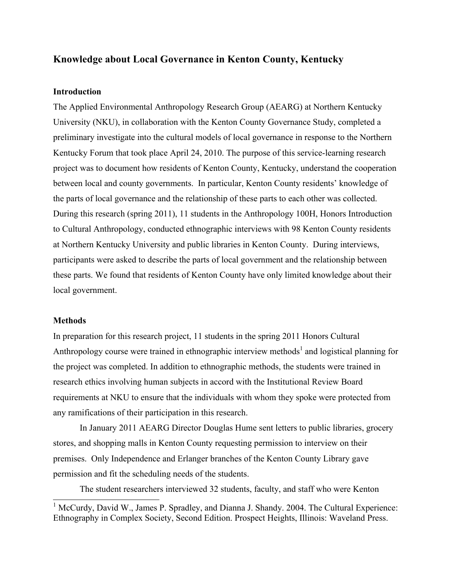# **Knowledge about Local Governance in Kenton County, Kentucky**

### **Introduction**

The Applied Environmental Anthropology Research Group (AEARG) at Northern Kentucky University (NKU), in collaboration with the Kenton County Governance Study, completed a preliminary investigate into the cultural models of local governance in response to the Northern Kentucky Forum that took place April 24, 2010. The purpose of this service-learning research project was to document how residents of Kenton County, Kentucky, understand the cooperation between local and county governments. In particular, Kenton County residents' knowledge of the parts of local governance and the relationship of these parts to each other was collected. During this research (spring 2011), 11 students in the Anthropology 100H, Honors Introduction to Cultural Anthropology, conducted ethnographic interviews with 98 Kenton County residents at Northern Kentucky University and public libraries in Kenton County. During interviews, participants were asked to describe the parts of local government and the relationship between these parts. We found that residents of Kenton County have only limited knowledge about their local government.

### **Methods**

l

In preparation for this research project, 11 students in the spring 2011 Honors Cultural Anthropology course were trained in ethnographic interview methods<sup>1</sup> and logistical planning for the project was completed. In addition to ethnographic methods, the students were trained in research ethics involving human subjects in accord with the Institutional Review Board requirements at NKU to ensure that the individuals with whom they spoke were protected from any ramifications of their participation in this research.

In January 2011 AEARG Director Douglas Hume sent letters to public libraries, grocery stores, and shopping malls in Kenton County requesting permission to interview on their premises. Only Independence and Erlanger branches of the Kenton County Library gave permission and fit the scheduling needs of the students.

The student researchers interviewed 32 students, faculty, and staff who were Kenton

<sup>&</sup>lt;sup>1</sup> McCurdy, David W., James P. Spradley, and Dianna J. Shandy. 2004. The Cultural Experience: Ethnography in Complex Society, Second Edition. Prospect Heights, Illinois: Waveland Press.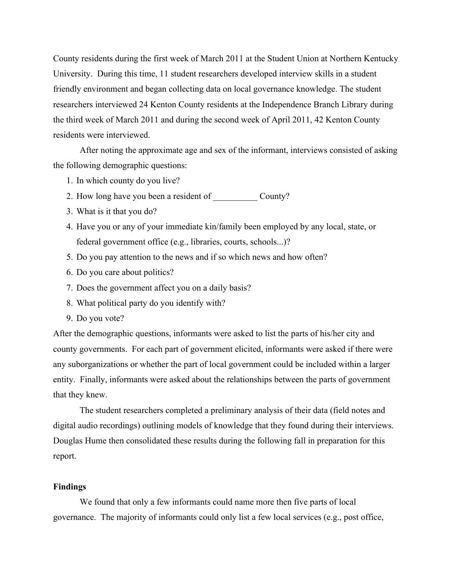County residents during the first week of March 2011 at the Student Union at Northern Kentucky University. During this time, 11 student researchers developed interview skills in a student friendly environment and began collecting data on local governance knowledge. The student researchers interviewed 24 Kenton County residents at the Independence Branch Library during the third week of March 2011 and during the second week of April 2011, 42 Kenton County residents were interviewed.

After noting the approximate age and sex of the informant, interviews consisted of asking the following demographic questions:

- 1. In which county do you live?
- 2. How long have you been a resident of County?
- 3. What is it that you do?
- 4. Have you or any of your immediate kin/family been employed by any local, state, or federal government office (e.g., libraries, courts, schools...)?
- 5. Do you pay attention to the news and if so which news and how often?
- 6. Do you care about politics?
- 7. Does the government affect you on a daily basis?
- 8. What political party do you identify with?
- 9. Do you vote?

After the demographic questions, informants were asked to list the parts of his/her city and county governments. For each part of government elicited, informants were asked if there were any suborganizations or whether the part of local government could be included within a larger entity. Finally, informants were asked about the relationships between the parts of government that they knew.

The student researchers completed a preliminary analysis of their data (field notes and digital audio recordings) outlining models of knowledge that they found during their interviews. Douglas Hume then consolidated these results during the following fall in preparation for this report.

### **Findings**

We found that only a few informants could name more then five parts of local governance. The majority of informants could only list a few local services (e.g., post office,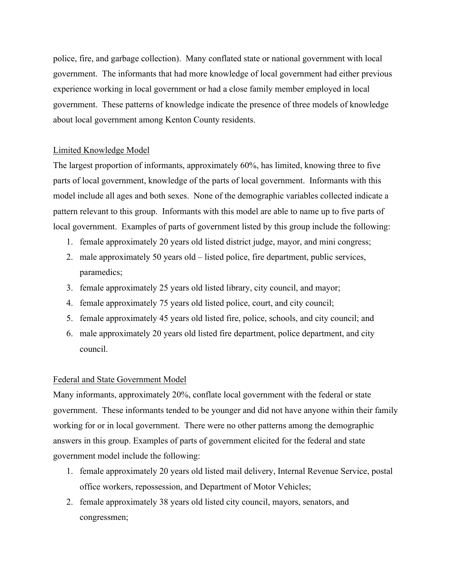police, fire, and garbage collection). Many conflated state or national government with local government. The informants that had more knowledge of local government had either previous experience working in local government or had a close family member employed in local government. These patterns of knowledge indicate the presence of three models of knowledge about local government among Kenton County residents.

## Limited Knowledge Model

The largest proportion of informants, approximately 60%, has limited, knowing three to five parts of local government, knowledge of the parts of local government. Informants with this model include all ages and both sexes. None of the demographic variables collected indicate a pattern relevant to this group. Informants with this model are able to name up to five parts of local government. Examples of parts of government listed by this group include the following:

- 1. female approximately 20 years old listed district judge, mayor, and mini congress;
- 2. male approximately 50 years old listed police, fire department, public services, paramedics;
- 3. female approximately 25 years old listed library, city council, and mayor;
- 4. female approximately 75 years old listed police, court, and city council;
- 5. female approximately 45 years old listed fire, police, schools, and city council; and
- 6. male approximately 20 years old listed fire department, police department, and city council.

## Federal and State Government Model

Many informants, approximately 20%, conflate local government with the federal or state government. These informants tended to be younger and did not have anyone within their family working for or in local government. There were no other patterns among the demographic answers in this group. Examples of parts of government elicited for the federal and state government model include the following:

- 1. female approximately 20 years old listed mail delivery, Internal Revenue Service, postal office workers, repossession, and Department of Motor Vehicles;
- 2. female approximately 38 years old listed city council, mayors, senators, and congressmen;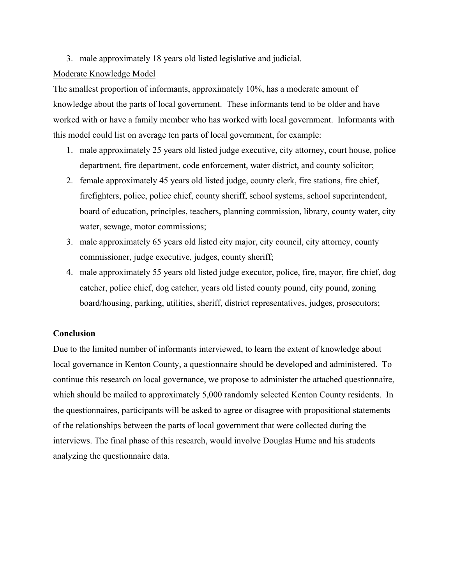## 3. male approximately 18 years old listed legislative and judicial.

### Moderate Knowledge Model

The smallest proportion of informants, approximately 10%, has a moderate amount of knowledge about the parts of local government. These informants tend to be older and have worked with or have a family member who has worked with local government. Informants with this model could list on average ten parts of local government, for example:

- 1. male approximately 25 years old listed judge executive, city attorney, court house, police department, fire department, code enforcement, water district, and county solicitor;
- 2. female approximately 45 years old listed judge, county clerk, fire stations, fire chief, firefighters, police, police chief, county sheriff, school systems, school superintendent, board of education, principles, teachers, planning commission, library, county water, city water, sewage, motor commissions;
- 3. male approximately 65 years old listed city major, city council, city attorney, county commissioner, judge executive, judges, county sheriff;
- 4. male approximately 55 years old listed judge executor, police, fire, mayor, fire chief, dog catcher, police chief, dog catcher, years old listed county pound, city pound, zoning board/housing, parking, utilities, sheriff, district representatives, judges, prosecutors;

## **Conclusion**

Due to the limited number of informants interviewed, to learn the extent of knowledge about local governance in Kenton County, a questionnaire should be developed and administered. To continue this research on local governance, we propose to administer the attached questionnaire, which should be mailed to approximately 5,000 randomly selected Kenton County residents. In the questionnaires, participants will be asked to agree or disagree with propositional statements of the relationships between the parts of local government that were collected during the interviews. The final phase of this research, would involve Douglas Hume and his students analyzing the questionnaire data.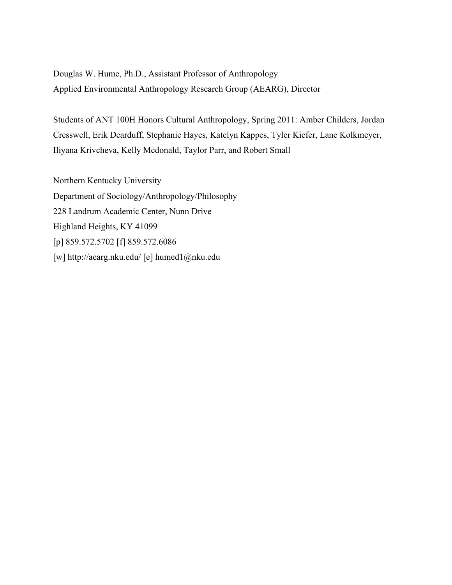Douglas W. Hume, Ph.D., Assistant Professor of Anthropology Applied Environmental Anthropology Research Group (AEARG), Director

Students of ANT 100H Honors Cultural Anthropology, Spring 2011: Amber Childers, Jordan Cresswell, Erik Dearduff, Stephanie Hayes, Katelyn Kappes, Tyler Kiefer, Lane Kolkmeyer, Iliyana Krivcheva, Kelly Mcdonald, Taylor Parr, and Robert Small

Northern Kentucky University Department of Sociology/Anthropology/Philosophy 228 Landrum Academic Center, Nunn Drive Highland Heights, KY 41099 [p] 859.572.5702 [f] 859.572.6086 [w] http://aearg.nku.edu/ [e] humed1@nku.edu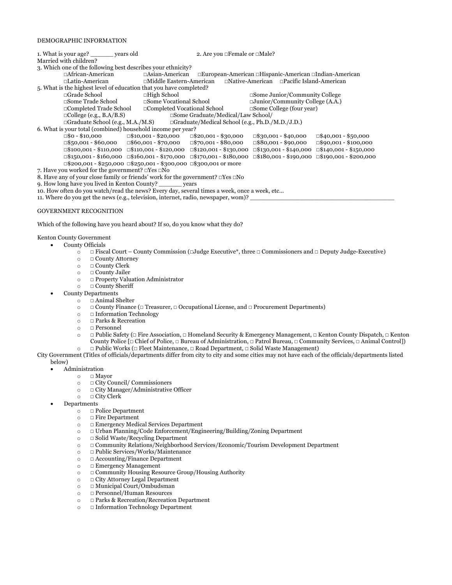#### DEMOGRAPHIC INFORMATION

| 1. What is your age? vears old                                                                                                                   |                                                                                                | 2. Are you $\Box$ Female or $\Box$ Male?                                                                                                         |  |  |  |  |  |  |  |  |
|--------------------------------------------------------------------------------------------------------------------------------------------------|------------------------------------------------------------------------------------------------|--------------------------------------------------------------------------------------------------------------------------------------------------|--|--|--|--|--|--|--|--|
| Married with children?                                                                                                                           |                                                                                                |                                                                                                                                                  |  |  |  |  |  |  |  |  |
| 3. Which one of the following best describes your ethnicity?                                                                                     |                                                                                                |                                                                                                                                                  |  |  |  |  |  |  |  |  |
| $\Box$ African-American                                                                                                                          | $\Box$ Asian-American $\Box$ European-American $\Box$ Hispanic-American $\Box$ Indian-American |                                                                                                                                                  |  |  |  |  |  |  |  |  |
| $\Box$ Latin-American                                                                                                                            | $\Box$ Middle Eastern-American $\Box$ Native-American $\Box$ Pacific Island-American           |                                                                                                                                                  |  |  |  |  |  |  |  |  |
| 5. What is the highest level of education that you have completed?                                                                               |                                                                                                |                                                                                                                                                  |  |  |  |  |  |  |  |  |
| $\Box$ Grade School                                                                                                                              | $\Box$ High School                                                                             | $\square$ Some Junior/Community College                                                                                                          |  |  |  |  |  |  |  |  |
| $\square$ Some Trade School                                                                                                                      | $\Box$ Some Vocational School                                                                  | $\Box$ Junior/Community College (A.A.)                                                                                                           |  |  |  |  |  |  |  |  |
| $\Box$ Completed Trade School                                                                                                                    | $\Box$ Completed Vocational School                                                             | $\Box$ Some College (four year)                                                                                                                  |  |  |  |  |  |  |  |  |
| □Some Graduate/Medical/Law School/<br>$\Box$ College (e.g., B.A/B.S)                                                                             |                                                                                                |                                                                                                                                                  |  |  |  |  |  |  |  |  |
| $\Box$ Graduate School (e.g., M.A./M.S) $\Box$ Graduate/Medical School (e.g., Ph.D./M.D./J.D.)                                                   |                                                                                                |                                                                                                                                                  |  |  |  |  |  |  |  |  |
| 6. What is your total (combined) household income per year?                                                                                      |                                                                                                |                                                                                                                                                  |  |  |  |  |  |  |  |  |
|                                                                                                                                                  | $\Box$ \$0 - \$10,000 $\Box$ \$10,001 - \$20,000 $\Box$ \$20,001 - \$30,000                    | $\Box$ \$30,001 - \$40,000<br>$\Box$ \$40,001 - \$50,000                                                                                         |  |  |  |  |  |  |  |  |
|                                                                                                                                                  | $\Box$ \$50,001 - \$60,000 $\Box$ \$60,001 - \$70,000 $\Box$ \$70,001 - \$80,000               | $\Box$ \$80,001 - \$90,000 $\Box$ \$90,001 - \$100,000                                                                                           |  |  |  |  |  |  |  |  |
|                                                                                                                                                  |                                                                                                | $\Box$ \$100,001 - \$110,000 $\Box$ \$110,001 - \$120,000 $\Box$ \$120,001 - \$130,000 $\Box$ \$130,001 - \$140,000 $\Box$ \$140,001 - \$150,000 |  |  |  |  |  |  |  |  |
| $\Box$ \$150,001 - \$160,000 $\Box$ \$160,001 - \$170,000 $\Box$ \$170,001 - \$180,000 $\Box$ \$180,001 - \$190,000 $\Box$ \$190,001 - \$200,000 |                                                                                                |                                                                                                                                                  |  |  |  |  |  |  |  |  |
| $\Box$ \$200,001 - \$250,000 $\Box$ \$250,001 - \$300,000 $\Box$ \$300,001 or more                                                               |                                                                                                |                                                                                                                                                  |  |  |  |  |  |  |  |  |
| 7. Have you worked for the government? $\Box$ Yes $\Box$ No                                                                                      |                                                                                                |                                                                                                                                                  |  |  |  |  |  |  |  |  |
| 8. Have any of your close family or friends' work for the government? $\Box$ Yes $\Box$ No                                                       |                                                                                                |                                                                                                                                                  |  |  |  |  |  |  |  |  |
| 9. How long have you lived in Kenton County?                                                                                                     |                                                                                                |                                                                                                                                                  |  |  |  |  |  |  |  |  |
| 10. How often do you watch/read the news? Every day, several times a week, once a week, etc                                                      |                                                                                                |                                                                                                                                                  |  |  |  |  |  |  |  |  |
| 11. Where do you get the news (e.g., television, internet, radio, newspaper, wom)?                                                               |                                                                                                |                                                                                                                                                  |  |  |  |  |  |  |  |  |

#### GOVERNMENT RECOGNITION

Which of the following have you heard about? If so, do you know what they do?

#### Kenton County Government

- County Officials
	- o **☐** Fiscal Court County Commission (**☐**Judge Executive\*, three **☐** Commissioners and **☐** Deputy Judge-Executive)
	- o **☐** County Attorney
	- o **☐** County Clerk
	- o **☐** County Jailer
	- o **☐** Property Valuation Administrator
	- o **☐** County Sheriff
	- County Departments
		- o **☐** Animal Shelter
		- o **☐** County Finance (**☐** Treasurer, **☐** Occupational License, and **☐** Procurement Departments)
		- o **☐** Information Technology
		- o **□ Parks & Recreation**<br>○ □ Personnel
		- o **☐** Personnel
		- o **☐** Public Safety (**☐** Fire Association, **☐** Homeland Security & Emergency Management, **☐** Kenton County Dispatch, **☐** Kenton County Police [**☐** Chief of Police, **☐** Bureau of Administration, **☐** Patrol Bureau, **☐** Community Services, **☐** Animal Control])
		- o **☐** Public Works (**☐** Fleet Maintenance, **☐** Road Department, **☐** Solid Waste Management)
- City Government (Titles of officials/departments differ from city to city and some cities may not have each of the officials/departments listed below)
	- Administration
		- o **□ Mayor**<br>o **□ City Co** 
			- □ City Council/ Commissioners
		- o **☐** City Manager/Administrative Officer
		- o **☐** City Clerk
	- Departments
		- o **☐** Police Department
		- o **☐** Fire Department
		- o **☐** Emergency Medical Services Department
		- o **☐** Urban Planning/Code Enforcement/Engineering/Building/Zoning Department
		- o **☐** Solid Waste/Recycling Department
		- o **☐** Community Relations/Neighborhood Services/Economic/Tourism Development Department
		- o **☐** Public Services/Works/Maintenance
		- o **☐** Accounting/Finance Department
		- o **☐** Emergency Management
		- o **☐** Community Housing Resource Group/Housing Authority
		- o **☐** City Attorney Legal Department
		- o **☐** Municipal Court/Ombudsman
		- o **☐** Personnel/Human Resources
		- o **☐** Parks & Recreation/Recreation Department
		- o **☐** Information Technology Department